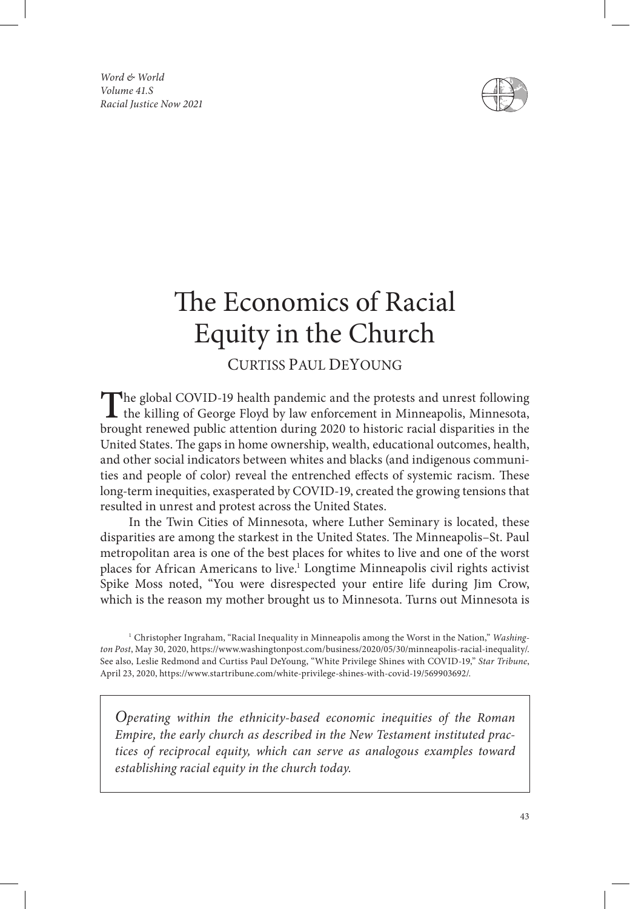*Word & World Volume 41.S Racial Justice Now 2021*



# The Economics of Racial Equity in the Church

# CURTISS PAUL DEYOUNG

The global COVID-19 health pandemic and the protests and unrest following the killing of George Floyd by law enforcement in Minneapolis, Minnesota, brought renewed public attention during 2020 to historic racial disparities in the United States. The gaps in home ownership, wealth, educational outcomes, health, and other social indicators between whites and blacks (and indigenous communities and people of color) reveal the entrenched effects of systemic racism. These long-term inequities, exasperated by COVID-19, created the growing tensions that resulted in unrest and protest across the United States.

In the Twin Cities of Minnesota, where Luther Seminary is located, these disparities are among the starkest in the United States. The Minneapolis–St. Paul metropolitan area is one of the best places for whites to live and one of the worst places for African Americans to live.<sup>1</sup> Longtime Minneapolis civil rights activist Spike Moss noted, "You were disrespected your entire life during Jim Crow, which is the reason my mother brought us to Minnesota. Turns out Minnesota is

*Operating within the ethnicity-based economic inequities of the Roman Empire, the early church as described in the New Testament instituted practices of reciprocal equity, which can serve as analogous examples toward establishing racial equity in the church today.*

<sup>1</sup> Christopher Ingraham, "Racial Inequality in Minneapolis among the Worst in the Nation," *Washington Post*, May 30, 2020, https://www.washingtonpost.com/business/2020/05/30/minneapolis-racial-inequality/. See also, Leslie Redmond and Curtiss Paul DeYoung, "White Privilege Shines with COVID-19," *Star Tribune*, April 23, 2020, https://www.startribune.com/white-privilege-shines-with-covid-19/569903692/.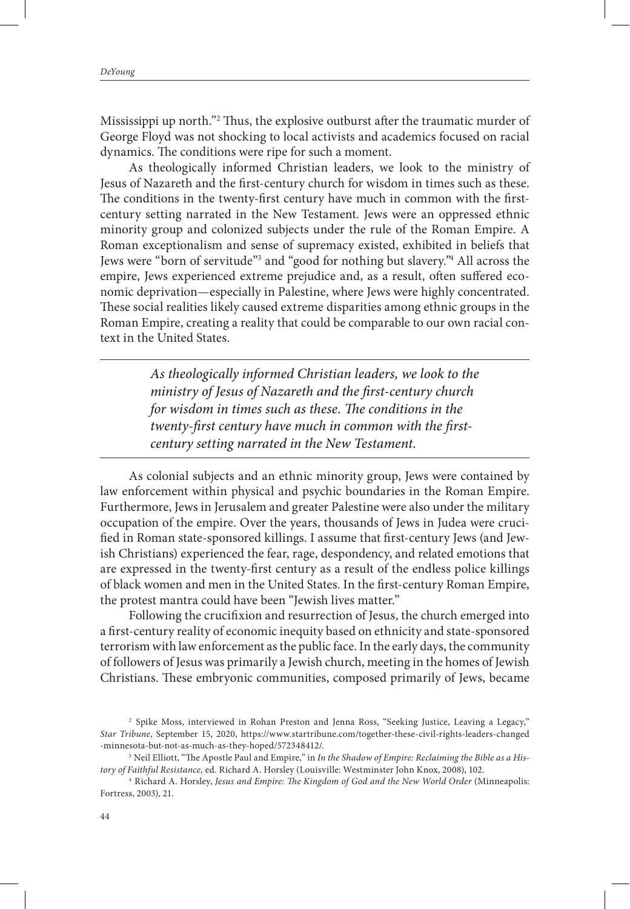Mississippi up north."<sup>2</sup> Thus, the explosive outburst after the traumatic murder of George Floyd was not shocking to local activists and academics focused on racial dynamics. The conditions were ripe for such a moment.

As theologically informed Christian leaders, we look to the ministry of Jesus of Nazareth and the first-century church for wisdom in times such as these. The conditions in the twenty-first century have much in common with the firstcentury setting narrated in the New Testament. Jews were an oppressed ethnic minority group and colonized subjects under the rule of the Roman Empire. A Roman exceptionalism and sense of supremacy existed, exhibited in beliefs that Jews were "born of servitude"<sup>3</sup> and "good for nothing but slavery."<sup>4</sup> All across the empire, Jews experienced extreme prejudice and, as a result, often suffered economic deprivation—especially in Palestine, where Jews were highly concentrated. These social realities likely caused extreme disparities among ethnic groups in the Roman Empire, creating a reality that could be comparable to our own racial context in the United States.

> *As theologically informed Christian leaders, we look to the ministry of Jesus of Nazareth and the first-century church for wisdom in times such as these. The conditions in the twenty-first century have much in common with the firstcentury setting narrated in the New Testament.*

As colonial subjects and an ethnic minority group, Jews were contained by law enforcement within physical and psychic boundaries in the Roman Empire. Furthermore, Jews in Jerusalem and greater Palestine were also under the military occupation of the empire. Over the years, thousands of Jews in Judea were crucified in Roman state-sponsored killings. I assume that first-century Jews (and Jewish Christians) experienced the fear, rage, despondency, and related emotions that are expressed in the twenty-first century as a result of the endless police killings of black women and men in the United States. In the first-century Roman Empire, the protest mantra could have been "Jewish lives matter."

Following the crucifixion and resurrection of Jesus, the church emerged into a first-century reality of economic inequity based on ethnicity and state-sponsored terrorism with law enforcement as the public face. In the early days, the community of followers of Jesus was primarily a Jewish church, meeting in the homes of Jewish Christians. These embryonic communities, composed primarily of Jews, became

<sup>&</sup>lt;sup>2</sup> Spike Moss, interviewed in Rohan Preston and Jenna Ross, "Seeking Justice, Leaving a Legacy," *Star Tribune*, September 15, 2020, https://www.startribune.com/together-these-civil-rights-leaders-changed -minnesota-but-not-as-much-as-they-hoped/572348412/.

<sup>3</sup> Neil Elliott, "The Apostle Paul and Empire," in *In the Shadow of Empire: Reclaiming the Bible as a History of Faithful Resistance,* ed. Richard A. Horsley (Louisville: Westminster John Knox, 2008), 102.

<sup>4</sup> Richard A. Horsley, *Jesus and Empire: The Kingdom of God and the New World Order* (Minneapolis: Fortress, 2003), 21.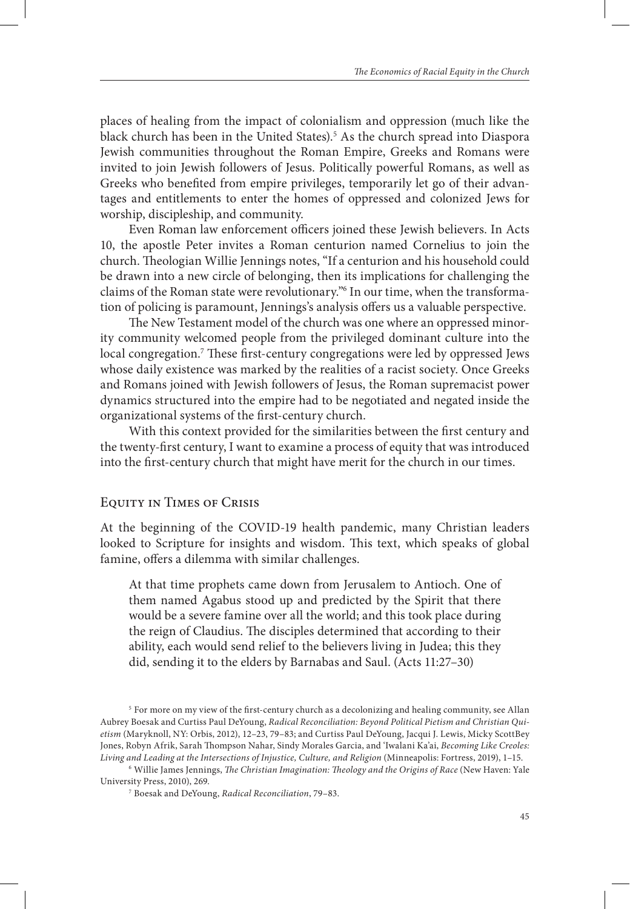places of healing from the impact of colonialism and oppression (much like the black church has been in the United States).<sup>5</sup> As the church spread into Diaspora Jewish communities throughout the Roman Empire, Greeks and Romans were invited to join Jewish followers of Jesus. Politically powerful Romans, as well as Greeks who benefited from empire privileges, temporarily let go of their advantages and entitlements to enter the homes of oppressed and colonized Jews for worship, discipleship, and community.

Even Roman law enforcement officers joined these Jewish believers. In Acts 10, the apostle Peter invites a Roman centurion named Cornelius to join the church. Theologian Willie Jennings notes, "If a centurion and his household could be drawn into a new circle of belonging, then its implications for challenging the claims of the Roman state were revolutionary."6 In our time, when the transformation of policing is paramount, Jennings's analysis offers us a valuable perspective.

The New Testament model of the church was one where an oppressed minority community welcomed people from the privileged dominant culture into the local congregation.<sup>7</sup> These first-century congregations were led by oppressed Jews whose daily existence was marked by the realities of a racist society. Once Greeks and Romans joined with Jewish followers of Jesus, the Roman supremacist power dynamics structured into the empire had to be negotiated and negated inside the organizational systems of the first-century church.

With this context provided for the similarities between the first century and the twenty-first century, I want to examine a process of equity that was introduced into the first-century church that might have merit for the church in our times.

### Equity in Times of Crisis

At the beginning of the COVID-19 health pandemic, many Christian leaders looked to Scripture for insights and wisdom. This text, which speaks of global famine, offers a dilemma with similar challenges.

At that time prophets came down from Jerusalem to Antioch. One of them named Agabus stood up and predicted by the Spirit that there would be a severe famine over all the world; and this took place during the reign of Claudius. The disciples determined that according to their ability, each would send relief to the believers living in Judea; this they did, sending it to the elders by Barnabas and Saul. (Acts 11:27–30)

6 Willie James Jennings, *The Christian Imagination: Theology and the Origins of Race* (New Haven: Yale University Press, 2010), 269.

<sup>&</sup>lt;sup>5</sup> For more on my view of the first-century church as a decolonizing and healing community, see Allan Aubrey Boesak and Curtiss Paul DeYoung, *Radical Reconciliation: Beyond Political Pietism and Christian Quietism* (Maryknoll, NY: Orbis, 2012), 12–23, 79–83; and Curtiss Paul DeYoung, Jacqui J. Lewis, Micky ScottBey Jones, Robyn Afrik, Sarah Thompson Nahar, Sindy Morales Garcia, and 'Iwalani Ka'ai, *Becoming Like Creoles: Living and Leading at the Intersections of Injustice, Culture, and Religion* (Minneapolis: Fortress, 2019), 1–15.

<sup>7</sup> Boesak and DeYoung, *Radical Reconciliation*, 79–83.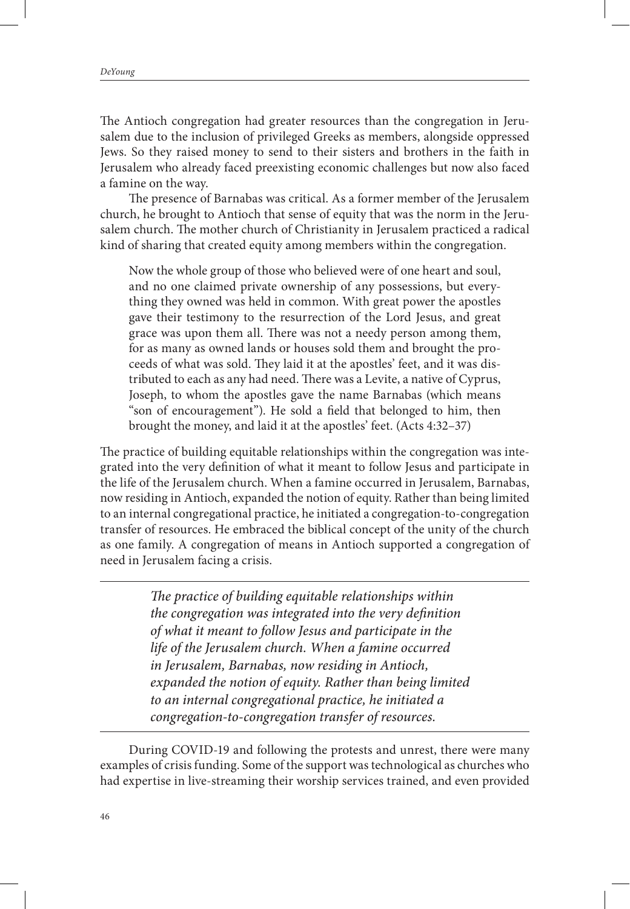The Antioch congregation had greater resources than the congregation in Jerusalem due to the inclusion of privileged Greeks as members, alongside oppressed Jews. So they raised money to send to their sisters and brothers in the faith in Jerusalem who already faced preexisting economic challenges but now also faced a famine on the way.

The presence of Barnabas was critical. As a former member of the Jerusalem church, he brought to Antioch that sense of equity that was the norm in the Jerusalem church. The mother church of Christianity in Jerusalem practiced a radical kind of sharing that created equity among members within the congregation.

Now the whole group of those who believed were of one heart and soul, and no one claimed private ownership of any possessions, but everything they owned was held in common. With great power the apostles gave their testimony to the resurrection of the Lord Jesus, and great grace was upon them all. There was not a needy person among them, for as many as owned lands or houses sold them and brought the proceeds of what was sold. They laid it at the apostles' feet, and it was distributed to each as any had need. There was a Levite, a native of Cyprus, Joseph, to whom the apostles gave the name Barnabas (which means "son of encouragement"). He sold a field that belonged to him, then brought the money, and laid it at the apostles' feet. (Acts 4:32–37)

The practice of building equitable relationships within the congregation was integrated into the very definition of what it meant to follow Jesus and participate in the life of the Jerusalem church. When a famine occurred in Jerusalem, Barnabas, now residing in Antioch, expanded the notion of equity. Rather than being limited to an internal congregational practice, he initiated a congregation-to-congregation transfer of resources. He embraced the biblical concept of the unity of the church as one family. A congregation of means in Antioch supported a congregation of need in Jerusalem facing a crisis.

> *The practice of building equitable relationships within the congregation was integrated into the very definition of what it meant to follow Jesus and participate in the life of the Jerusalem church. When a famine occurred in Jerusalem, Barnabas, now residing in Antioch, expanded the notion of equity. Rather than being limited to an internal congregational practice, he initiated a congregation-to-congregation transfer of resources.*

During COVID-19 and following the protests and unrest, there were many examples of crisis funding. Some of the support was technological as churches who had expertise in live-streaming their worship services trained, and even provided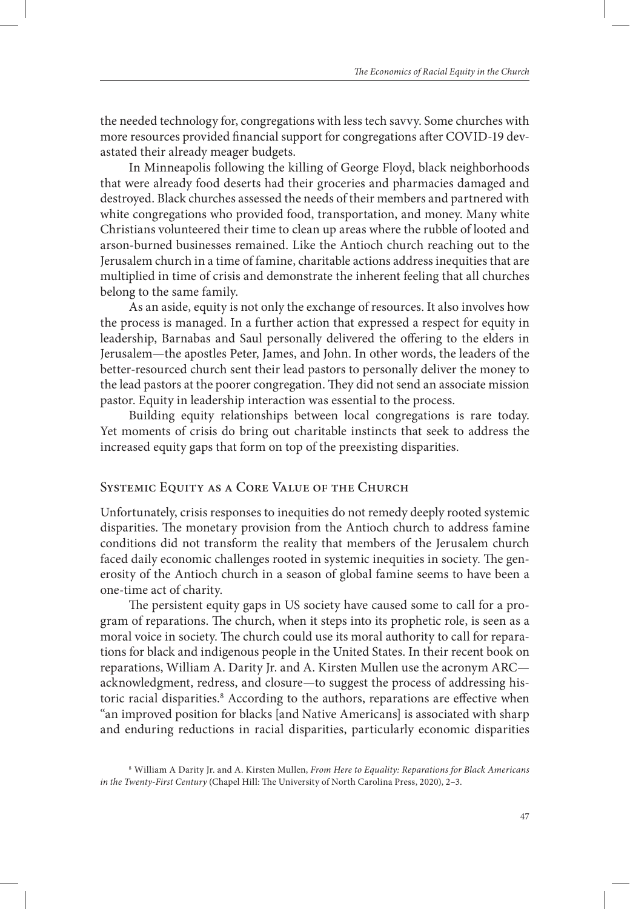the needed technology for, congregations with less tech savvy. Some churches with more resources provided financial support for congregations after COVID-19 devastated their already meager budgets.

In Minneapolis following the killing of George Floyd, black neighborhoods that were already food deserts had their groceries and pharmacies damaged and destroyed. Black churches assessed the needs of their members and partnered with white congregations who provided food, transportation, and money. Many white Christians volunteered their time to clean up areas where the rubble of looted and arson-burned businesses remained. Like the Antioch church reaching out to the Jerusalem church in a time of famine, charitable actions address inequities that are multiplied in time of crisis and demonstrate the inherent feeling that all churches belong to the same family.

As an aside, equity is not only the exchange of resources. It also involves how the process is managed. In a further action that expressed a respect for equity in leadership, Barnabas and Saul personally delivered the offering to the elders in Jerusalem—the apostles Peter, James, and John. In other words, the leaders of the better-resourced church sent their lead pastors to personally deliver the money to the lead pastors at the poorer congregation. They did not send an associate mission pastor. Equity in leadership interaction was essential to the process.

Building equity relationships between local congregations is rare today. Yet moments of crisis do bring out charitable instincts that seek to address the increased equity gaps that form on top of the preexisting disparities.

## Systemic Equity as a Core Value of the Church

Unfortunately, crisis responses to inequities do not remedy deeply rooted systemic disparities. The monetary provision from the Antioch church to address famine conditions did not transform the reality that members of the Jerusalem church faced daily economic challenges rooted in systemic inequities in society. The generosity of the Antioch church in a season of global famine seems to have been a one-time act of charity.

The persistent equity gaps in US society have caused some to call for a program of reparations. The church, when it steps into its prophetic role, is seen as a moral voice in society. The church could use its moral authority to call for reparations for black and indigenous people in the United States. In their recent book on reparations, William A. Darity Jr. and A. Kirsten Mullen use the acronym ARC acknowledgment, redress, and closure—to suggest the process of addressing historic racial disparities.<sup>8</sup> According to the authors, reparations are effective when "an improved position for blacks [and Native Americans] is associated with sharp and enduring reductions in racial disparities, particularly economic disparities

<sup>8</sup> William A Darity Jr. and A. Kirsten Mullen, *From Here to Equality: Reparations for Black Americans in the Twenty-First Century* (Chapel Hill: The University of North Carolina Press, 2020), 2–3.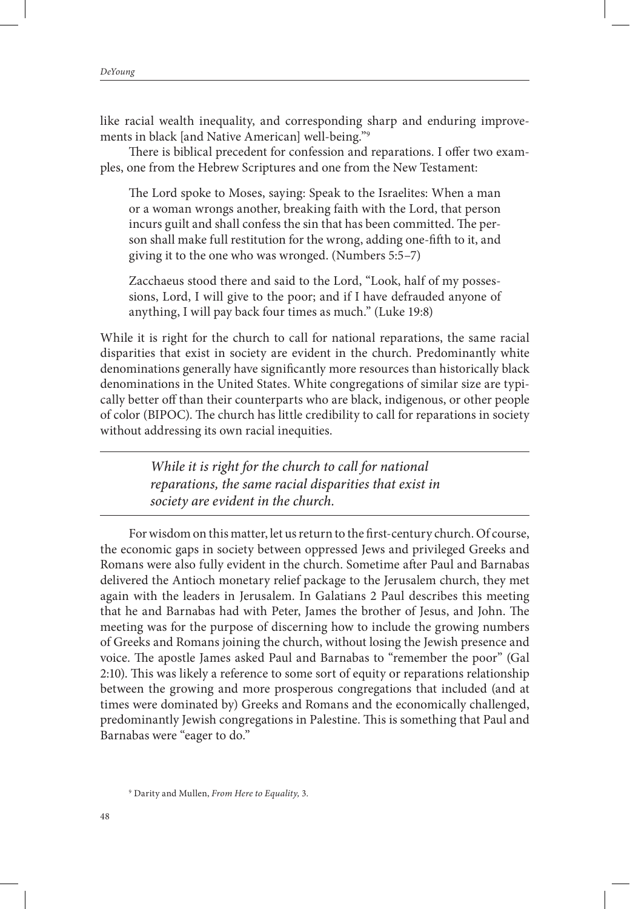like racial wealth inequality, and corresponding sharp and enduring improvements in black [and Native American] well-being."9

There is biblical precedent for confession and reparations. I offer two examples, one from the Hebrew Scriptures and one from the New Testament:

The Lord spoke to Moses, saying: Speak to the Israelites: When a man or a woman wrongs another, breaking faith with the Lord, that person incurs guilt and shall confess the sin that has been committed. The person shall make full restitution for the wrong, adding one-fifth to it, and giving it to the one who was wronged. (Numbers 5:5–7)

Zacchaeus stood there and said to the Lord, "Look, half of my possessions, Lord, I will give to the poor; and if I have defrauded anyone of anything, I will pay back four times as much." (Luke 19:8)

While it is right for the church to call for national reparations, the same racial disparities that exist in society are evident in the church. Predominantly white denominations generally have significantly more resources than historically black denominations in the United States. White congregations of similar size are typically better off than their counterparts who are black, indigenous, or other people of color (BIPOC). The church has little credibility to call for reparations in society without addressing its own racial inequities.

> *While it is right for the church to call for national reparations, the same racial disparities that exist in society are evident in the church.*

For wisdom on this matter, let us return to the first-century church. Of course, the economic gaps in society between oppressed Jews and privileged Greeks and Romans were also fully evident in the church. Sometime after Paul and Barnabas delivered the Antioch monetary relief package to the Jerusalem church, they met again with the leaders in Jerusalem. In Galatians 2 Paul describes this meeting that he and Barnabas had with Peter, James the brother of Jesus, and John. The meeting was for the purpose of discerning how to include the growing numbers of Greeks and Romans joining the church, without losing the Jewish presence and voice. The apostle James asked Paul and Barnabas to "remember the poor" (Gal 2:10). This was likely a reference to some sort of equity or reparations relationship between the growing and more prosperous congregations that included (and at times were dominated by) Greeks and Romans and the economically challenged, predominantly Jewish congregations in Palestine. This is something that Paul and Barnabas were "eager to do."

<sup>9</sup> Darity and Mullen, *From Here to Equality,* 3.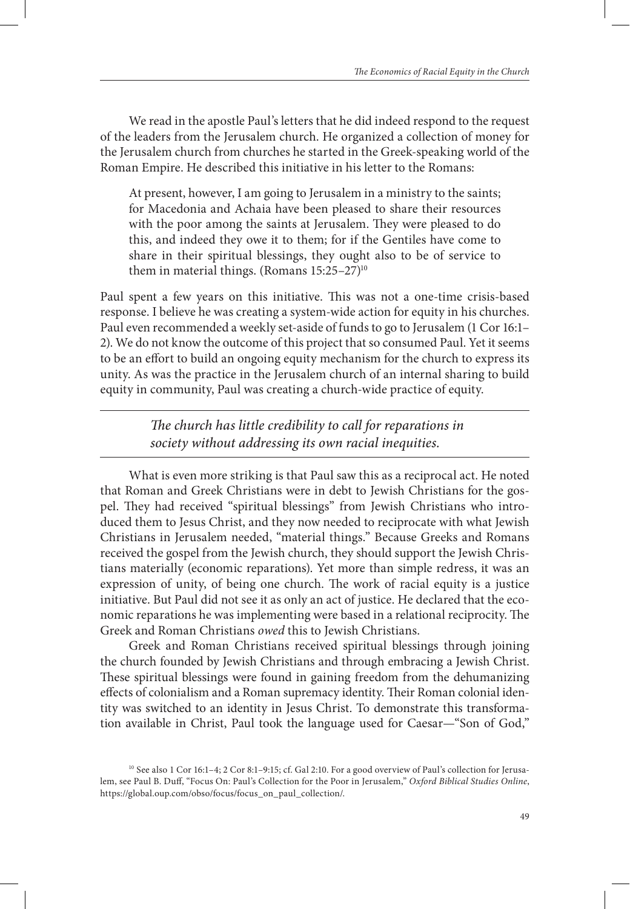We read in the apostle Paul's letters that he did indeed respond to the request of the leaders from the Jerusalem church. He organized a collection of money for the Jerusalem church from churches he started in the Greek-speaking world of the Roman Empire. He described this initiative in his letter to the Romans:

At present, however, I am going to Jerusalem in a ministry to the saints; for Macedonia and Achaia have been pleased to share their resources with the poor among the saints at Jerusalem. They were pleased to do this, and indeed they owe it to them; for if the Gentiles have come to share in their spiritual blessings, they ought also to be of service to them in material things. (Romans  $15:25-27$ )<sup>10</sup>

Paul spent a few years on this initiative. This was not a one-time crisis-based response. I believe he was creating a system-wide action for equity in his churches. Paul even recommended a weekly set-aside of funds to go to Jerusalem (1 Cor 16:1– 2). We do not know the outcome of this project that so consumed Paul. Yet it seems to be an effort to build an ongoing equity mechanism for the church to express its unity. As was the practice in the Jerusalem church of an internal sharing to build equity in community, Paul was creating a church-wide practice of equity.

> *The church has little credibility to call for reparations in society without addressing its own racial inequities.*

What is even more striking is that Paul saw this as a reciprocal act. He noted that Roman and Greek Christians were in debt to Jewish Christians for the gospel. They had received "spiritual blessings" from Jewish Christians who introduced them to Jesus Christ, and they now needed to reciprocate with what Jewish Christians in Jerusalem needed, "material things." Because Greeks and Romans received the gospel from the Jewish church, they should support the Jewish Christians materially (economic reparations). Yet more than simple redress, it was an expression of unity, of being one church. The work of racial equity is a justice initiative. But Paul did not see it as only an act of justice. He declared that the economic reparations he was implementing were based in a relational reciprocity. The Greek and Roman Christians *owed* this to Jewish Christians.

Greek and Roman Christians received spiritual blessings through joining the church founded by Jewish Christians and through embracing a Jewish Christ. These spiritual blessings were found in gaining freedom from the dehumanizing effects of colonialism and a Roman supremacy identity. Their Roman colonial identity was switched to an identity in Jesus Christ. To demonstrate this transformation available in Christ, Paul took the language used for Caesar—"Son of God,"

<sup>&</sup>lt;sup>10</sup> See also 1 Cor 16:1-4; 2 Cor 8:1-9:15; cf. Gal 2:10. For a good overview of Paul's collection for Jerusalem, see Paul B. Duff, "Focus On: Paul's Collection for the Poor in Jerusalem," *Oxford Biblical Studies Online*, https://global.oup.com/obso/focus/focus\_on\_paul\_collection/.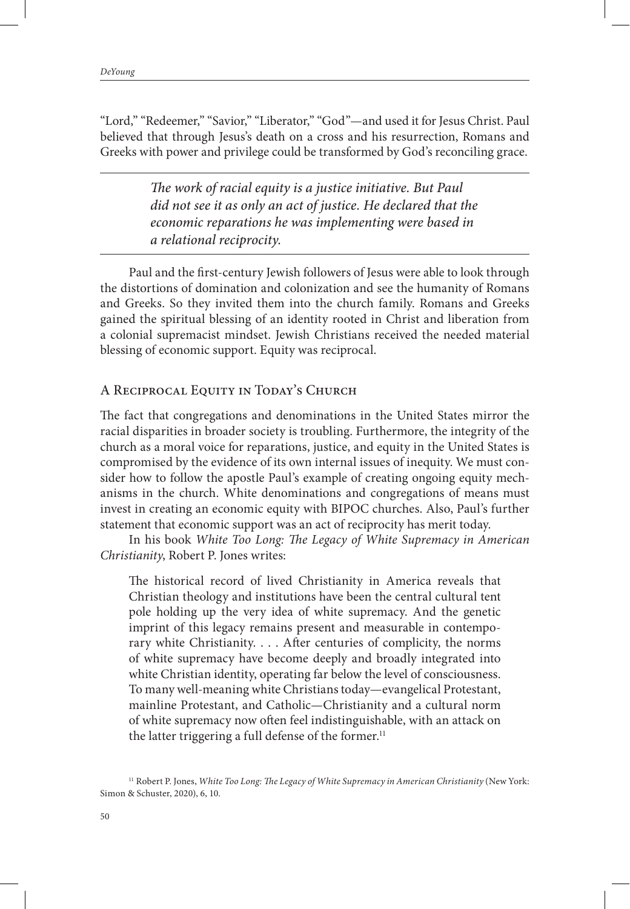"Lord," "Redeemer," "Savior," "Liberator," "God"—and used it for Jesus Christ. Paul believed that through Jesus's death on a cross and his resurrection, Romans and Greeks with power and privilege could be transformed by God's reconciling grace.

> *The work of racial equity is a justice initiative. But Paul did not see it as only an act of justice. He declared that the economic reparations he was implementing were based in a relational reciprocity.*

Paul and the first-century Jewish followers of Jesus were able to look through the distortions of domination and colonization and see the humanity of Romans and Greeks. So they invited them into the church family. Romans and Greeks gained the spiritual blessing of an identity rooted in Christ and liberation from a colonial supremacist mindset. Jewish Christians received the needed material blessing of economic support. Equity was reciprocal.

## A Reciprocal Equity in Today's Church

The fact that congregations and denominations in the United States mirror the racial disparities in broader society is troubling. Furthermore, the integrity of the church as a moral voice for reparations, justice, and equity in the United States is compromised by the evidence of its own internal issues of inequity. We must consider how to follow the apostle Paul's example of creating ongoing equity mechanisms in the church. White denominations and congregations of means must invest in creating an economic equity with BIPOC churches. Also, Paul's further statement that economic support was an act of reciprocity has merit today.

In his book *White Too Long: The Legacy of White Supremacy in American Christianity*, Robert P. Jones writes:

The historical record of lived Christianity in America reveals that Christian theology and institutions have been the central cultural tent pole holding up the very idea of white supremacy. And the genetic imprint of this legacy remains present and measurable in contemporary white Christianity. . . . After centuries of complicity, the norms of white supremacy have become deeply and broadly integrated into white Christian identity, operating far below the level of consciousness. To many well-meaning white Christians today—evangelical Protestant, mainline Protestant, and Catholic—Christianity and a cultural norm of white supremacy now often feel indistinguishable, with an attack on the latter triggering a full defense of the former.<sup>11</sup>

<sup>11</sup> Robert P. Jones, *White Too Long: The Legacy of White Supremacy in American Christianity* (New York: Simon & Schuster, 2020), 6, 10.